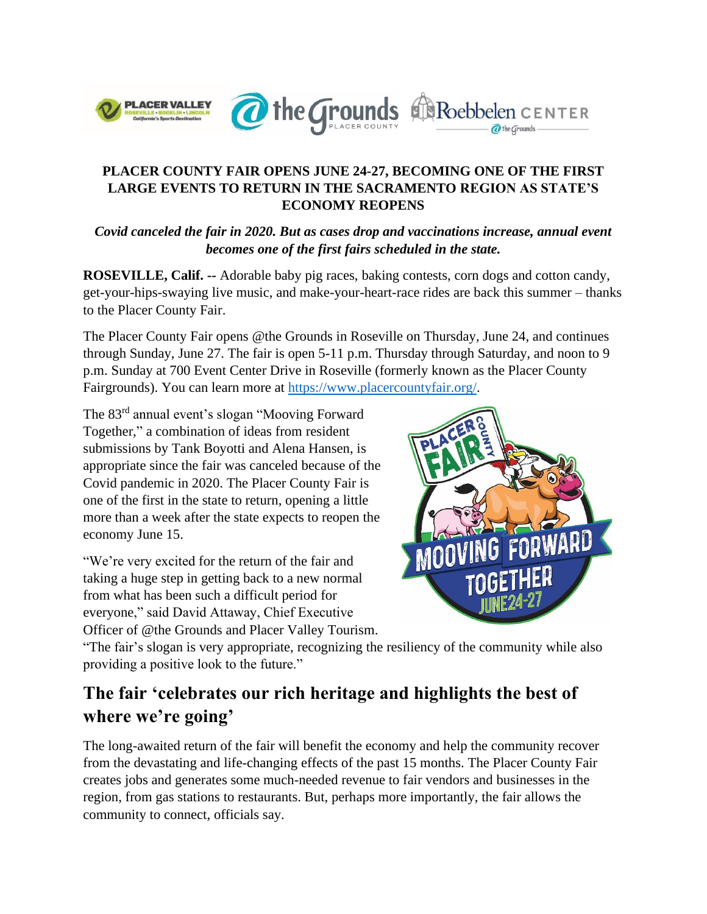

### **PLACER COUNTY FAIR OPENS JUNE 24-27, BECOMING ONE OF THE FIRST LARGE EVENTS TO RETURN IN THE SACRAMENTO REGION AS STATE'S ECONOMY REOPENS**

*Covid canceled the fair in 2020. But as cases drop and vaccinations increase, annual event becomes one of the first fairs scheduled in the state.*

**ROSEVILLE, Calif. --** Adorable baby pig races, baking contests, corn dogs and cotton candy, get-your-hips-swaying live music, and make-your-heart-race rides are back this summer – thanks to the Placer County Fair.

The Placer County Fair opens @the Grounds in Roseville on Thursday, June 24, and continues through Sunday, June 27. The fair is open 5-11 p.m. Thursday through Saturday, and noon to 9 p.m. Sunday at 700 Event Center Drive in Roseville (formerly known as the Placer County Fairgrounds). You can learn more at [https://www.placercountyfair.org/.](https://www.placercountyfair.org/)

The 83rd annual event's slogan "Mooving Forward Together," a combination of ideas from resident submissions by Tank Boyotti and Alena Hansen, is appropriate since the fair was canceled because of the Covid pandemic in 2020. The Placer County Fair is one of the first in the state to return, opening a little more than a week after the state expects to reopen the economy June 15.

"We're very excited for the return of the fair and taking a huge step in getting back to a new normal from what has been such a difficult period for everyone," said David Attaway, Chief Executive Officer of @the Grounds and Placer Valley Tourism.



"The fair's slogan is very appropriate, recognizing the resiliency of the community while also providing a positive look to the future."

## **The fair 'celebrates our rich heritage and highlights the best of where we're going'**

The long-awaited return of the fair will benefit the economy and help the community recover from the devastating and life-changing effects of the past 15 months. The Placer County Fair creates jobs and generates some much-needed revenue to fair vendors and businesses in the region, from gas stations to restaurants. But, perhaps more importantly, the fair allows the community to connect, officials say.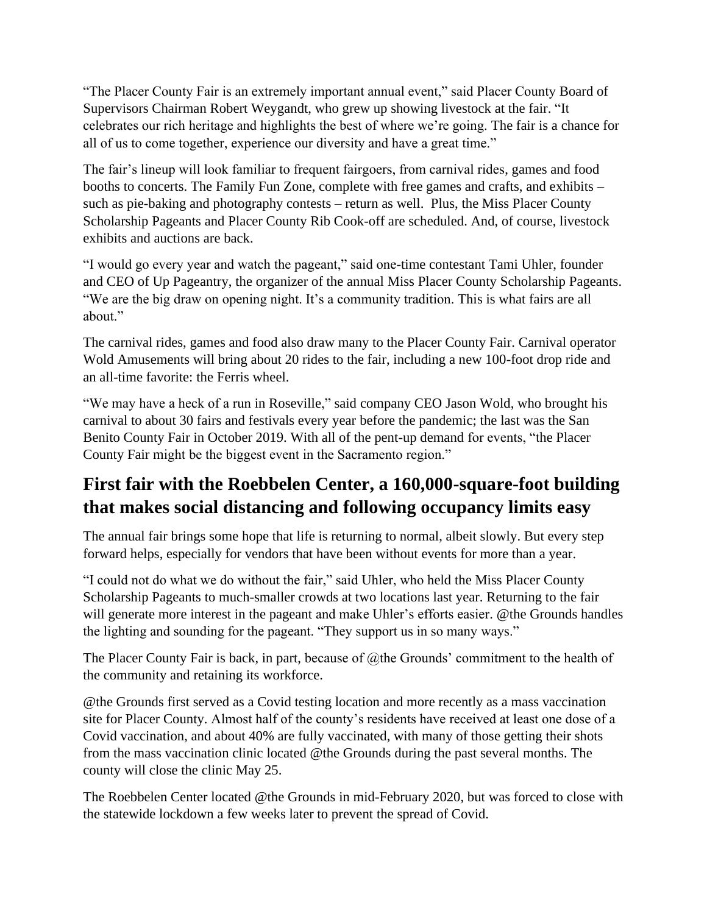"The Placer County Fair is an extremely important annual event," said Placer County Board of Supervisors Chairman Robert Weygandt, who grew up showing livestock at the fair. "It celebrates our rich heritage and highlights the best of where we're going. The fair is a chance for all of us to come together, experience our diversity and have a great time."

The fair's lineup will look familiar to frequent fairgoers, from carnival rides, games and food booths to concerts. The Family Fun Zone, complete with free games and crafts, and exhibits – such as pie-baking and photography contests – return as well. Plus, the Miss Placer County Scholarship Pageants and Placer County Rib Cook-off are scheduled. And, of course, livestock exhibits and auctions are back.

"I would go every year and watch the pageant," said one-time contestant Tami Uhler, founder and CEO of Up Pageantry, the organizer of the annual Miss Placer County Scholarship Pageants. "We are the big draw on opening night. It's a community tradition. This is what fairs are all about."

The carnival rides, games and food also draw many to the Placer County Fair. Carnival operator Wold Amusements will bring about 20 rides to the fair, including a new 100-foot drop ride and an all-time favorite: the Ferris wheel.

"We may have a heck of a run in Roseville," said company CEO Jason Wold, who brought his carnival to about 30 fairs and festivals every year before the pandemic; the last was the San Benito County Fair in October 2019. With all of the pent-up demand for events, "the Placer County Fair might be the biggest event in the Sacramento region."

# **First fair with the Roebbelen Center, a 160,000-square-foot building that makes social distancing and following occupancy limits easy**

The annual fair brings some hope that life is returning to normal, albeit slowly. But every step forward helps, especially for vendors that have been without events for more than a year.

"I could not do what we do without the fair," said Uhler, who held the Miss Placer County Scholarship Pageants to much-smaller crowds at two locations last year. Returning to the fair will generate more interest in the pageant and make Uhler's efforts easier. @the Grounds handles the lighting and sounding for the pageant. "They support us in so many ways."

The Placer County Fair is back, in part, because of @the Grounds' commitment to the health of the community and retaining its workforce.

@the Grounds first served as a Covid testing location and more recently as a mass vaccination site for Placer County. Almost half of the county's residents have received at least one dose of a Covid vaccination, and about 40% are fully vaccinated, with many of those getting their shots from the mass vaccination clinic located @the Grounds during the past several months. The county will close the clinic May 25.

The Roebbelen Center located @the Grounds in mid-February 2020, but was forced to close with the statewide lockdown a few weeks later to prevent the spread of Covid.